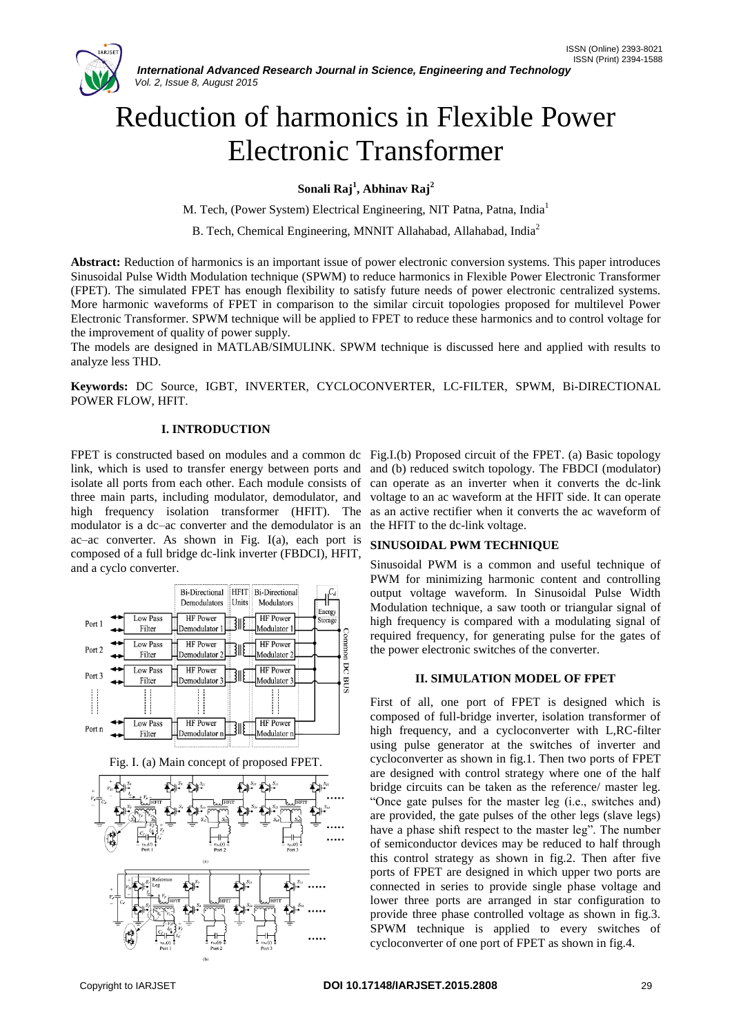# Reduction of harmonics in Flexible Power Electronic Transformer

**Sonali Raj<sup>1</sup> , Abhinav Raj<sup>2</sup>**

M. Tech, (Power System) Electrical Engineering, NIT Patna, Patna, India<sup>1</sup>

B. Tech, Chemical Engineering, MNNIT Allahabad, Allahabad, India<sup>2</sup>

**Abstract:** Reduction of harmonics is an important issue of power electronic conversion systems. This paper introduces Sinusoidal Pulse Width Modulation technique (SPWM) to reduce harmonics in Flexible Power Electronic Transformer (FPET). The simulated FPET has enough flexibility to satisfy future needs of power electronic centralized systems. More harmonic waveforms of FPET in comparison to the similar circuit topologies proposed for multilevel Power Electronic Transformer. SPWM technique will be applied to FPET to reduce these harmonics and to control voltage for the improvement of quality of power supply.

The models are designed in MATLAB/SIMULINK. SPWM technique is discussed here and applied with results to analyze less THD.

**Keywords:** DC Source, IGBT, INVERTER, CYCLOCONVERTER, LC-FILTER, SPWM, Bi-DIRECTIONAL POWER FLOW, HFIT.

## **I. INTRODUCTION**

link, which is used to transfer energy between ports and isolate all ports from each other. Each module consists of three main parts, including modulator, demodulator, and high frequency isolation transformer (HFIT). The modulator is a dc–ac converter and the demodulator is an ac–ac converter. As shown in Fig. I(a), each port is composed of a full bridge dc-link inverter (FBDCI), HFIT, and a cyclo converter.







FPET is constructed based on modules and a common dc Fig.I.(b) Proposed circuit of the FPET. (a) Basic topology and (b) reduced switch topology. The FBDCI (modulator) can operate as an inverter when it converts the dc-link voltage to an ac waveform at the HFIT side. It can operate as an active rectifier when it converts the ac waveform of the HFIT to the dc-link voltage.

#### **SINUSOIDAL PWM TECHNIQUE**

Sinusoidal PWM is a common and useful technique of PWM for minimizing harmonic content and controlling output voltage waveform. In Sinusoidal Pulse Width Modulation technique, a saw tooth or triangular signal of high frequency is compared with a modulating signal of required frequency, for generating pulse for the gates of the power electronic switches of the converter.

#### **II. SIMULATION MODEL OF FPET**

First of all, one port of FPET is designed which is composed of full-bridge inverter, isolation transformer of high frequency, and a cycloconverter with L,RC-filter using pulse generator at the switches of inverter and cycloconverter as shown in fig.1. Then two ports of FPET are designed with control strategy where one of the half bridge circuits can be taken as the reference/ master leg. "Once gate pulses for the master leg (i.e., switches and) are provided, the gate pulses of the other legs (slave legs) have a phase shift respect to the master leg". The number of semiconductor devices may be reduced to half through this control strategy as shown in fig.2. Then after five ports of FPET are designed in which upper two ports are connected in series to provide single phase voltage and lower three ports are arranged in star configuration to provide three phase controlled voltage as shown in fig.3. SPWM technique is applied to every switches of cycloconverter of one port of FPET as shown in fig.4.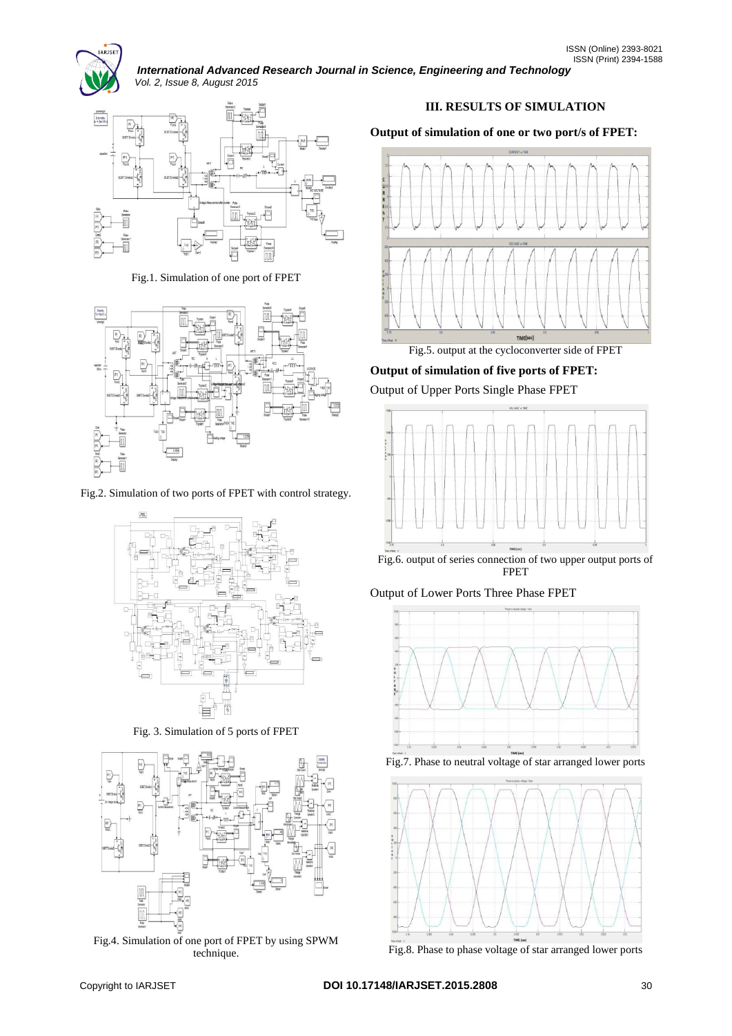

*International Advanced Research Journal in Science, Engineering and Technology Vol. 2, Issue 8, August 2015*



Fig.1. Simulation of one port of FPET



Fig.2. Simulation of two ports of FPET with control strategy.



Fig. 3. Simulation of 5 ports of FPET



Fig.4. Simulation of one port of FPET by using SPWM technique.

# **III. RESULTS OF SIMULATION**

**Output of simulation of one or two port/s of FPET:**



Fig.5. output at the cycloconverter side of FPET

**Output of simulation of five ports of FPET:** Output of Upper Ports Single Phase FPET



FPET

Output of Lower Ports Three Phase FPET



Fig.7. Phase to neutral voltage of star arranged lower ports



Fig.8. Phase to phase voltage of star arranged lower ports